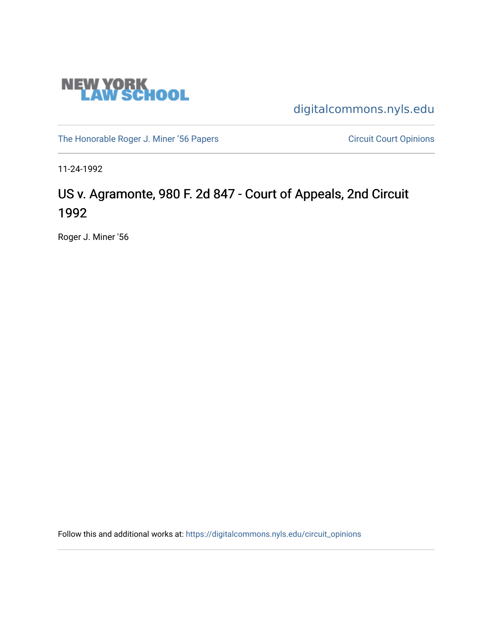

[digitalcommons.nyls.edu](https://digitalcommons.nyls.edu/) 

[The Honorable Roger J. Miner '56 Papers](https://digitalcommons.nyls.edu/miner_papers) Circuit Court Opinions

11-24-1992

# US v. Agramonte, 980 F. 2d 847 - Court of Appeals, 2nd Circuit 1992

Roger J. Miner '56

Follow this and additional works at: [https://digitalcommons.nyls.edu/circuit\\_opinions](https://digitalcommons.nyls.edu/circuit_opinions?utm_source=digitalcommons.nyls.edu%2Fcircuit_opinions%2F377&utm_medium=PDF&utm_campaign=PDFCoverPages)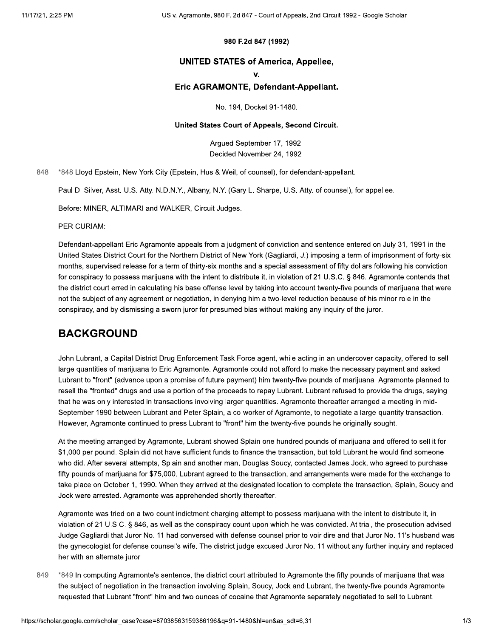### 980 F.2d 847 (1992)

### **UNITED STATES of America, Appellee,**

v.

### Eric AGRAMONTE, Defendant-Appellant.

No. 194, Docket 91-1480.

#### United States Court of Appeals, Second Circuit.

Arqued September 17, 1992. Decided November 24, 1992.

848 \*848 Lloyd Epstein, New York City (Epstein, Hus & Weil, of counsel), for defendant-appellant.

Paul D. Silver, Asst. U.S. Atty. N.D.N.Y., Albany, N.Y. (Gary L. Sharpe, U.S. Atty. of counsel), for appellee.

Before: MINER, ALTIMARI and WALKER, Circuit Judges.

PER CURIAM:

Defendant-appellant Eric Agramonte appeals from a judgment of conviction and sentence entered on July 31, 1991 in the United States District Court for the Northern District of New York (Gagliardi, J.) imposing a term of imprisonment of forty-six months, supervised release for a term of thirty-six months and a special assessment of fifty dollars following his conviction for conspiracy to possess marijuana with the intent to distribute it, in violation of 21 U.S.C. § 846. Agramonte contends that the district court erred in calculating his base offense level by taking into account twenty-five pounds of marijuana that were not the subject of any agreement or negotiation, in denying him a two-level reduction because of his minor role in the conspiracy, and by dismissing a sworn juror for presumed bias without making any inquiry of the juror.

## **BACKGROUND**

John Lubrant, a Capital District Drug Enforcement Task Force agent, while acting in an undercover capacity, offered to sell large quantities of marijuana to Eric Agramonte. Agramonte could not afford to make the necessary payment and asked Lubrant to "front" (advance upon a promise of future payment) him twenty-five pounds of marijuana. Agramonte planned to resell the "fronted" drugs and use a portion of the proceeds to repay Lubrant. Lubrant refused to provide the drugs, saying that he was only interested in transactions involving larger quantities. Agramonte thereafter arranged a meeting in mid-September 1990 between Lubrant and Peter Splain, a co-worker of Agramonte, to negotiate a large-quantity transaction. However, Agramonte continued to press Lubrant to "front" him the twenty-five pounds he originally sought.

At the meeting arranged by Agramonte, Lubrant showed Splain one hundred pounds of marijuana and offered to sell it for \$1,000 per pound. Splain did not have sufficient funds to finance the transaction, but told Lubrant he would find someone who did. After several attempts, Splain and another man, Douglas Soucy, contacted James Jock, who agreed to purchase fifty pounds of marijuana for \$75,000. Lubrant agreed to the transaction, and arrangements were made for the exchange to take place on October 1, 1990. When they arrived at the designated location to complete the transaction, Splain, Soucy and Jock were arrested. Agramonte was apprehended shortly thereafter.

Agramonte was tried on a two-count indictment charging attempt to possess marijuana with the intent to distribute it, in violation of 21 U.S.C. § 846, as well as the conspiracy count upon which he was convicted. At trial, the prosecution advised Judge Gagliardi that Juror No. 11 had conversed with defense counsel prior to voir dire and that Juror No. 11's husband was the gynecologist for defense counsel's wife. The district judge excused Juror No. 11 without any further inguiry and replaced her with an alternate juror.

849 \*849 In computing Agramonte's sentence, the district court attributed to Agramonte the fifty pounds of marijuana that was the subject of negotiation in the transaction involving Splain, Soucy, Jock and Lubrant, the twenty-five pounds Agramonte requested that Lubrant "front" him and two ounces of cocaine that Agramonte separately negotiated to sell to Lubrant.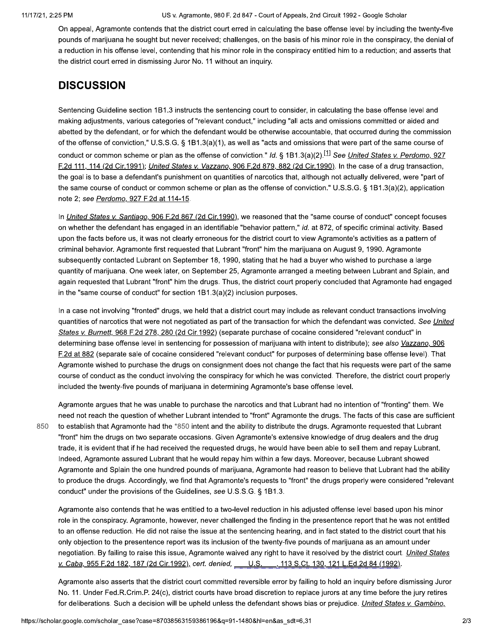US v. Agramonte, 980 F. 2d 847 - Court of Appeals, 2nd Circuit 1992 - Google Scholar

On appeal, Agramonte contends that the district court erred in calculating the base offense level by including the twenty-five pounds of marijuana he sought but never received; challenges, on the basis of his minor role in the conspiracy, the denial of a reduction in his offense level, contending that his minor role in the conspiracy entitled him to a reduction; and asserts that the district court erred in dismissing Juror No. 11 without an inquiry.

# **DISCUSSION**

Sentencing Guideline section 1B1.3 instructs the sentencing court to consider, in calculating the base offense level and making adjustments, various categories of "relevant conduct," including "all acts and omissions committed or aided and abetted by the defendant, or for which the defendant would be otherwise accountable, that occurred during the commission of the offense of conviction," U.S.S.G. § 1B1.3(a)(1), as well as "acts and omissions that were part of the same course of conduct or common scheme or plan as the offense of conviction." Id. § 1B1.3(a)(2).<sup>[1]</sup> See *United States v. Perdomo, 927* F.2d 111, 114 (2d Cir.1991); United States v. Vazzano, 906 F.2d 879, 882 (2d Cir.1990). In the case of a drug transaction, the goal is to base a defendant's punishment on quantities of narcotics that, although not actually delivered, were "part of the same course of conduct or common scheme or plan as the offense of conviction." U.S.S.G. § 1B1.3(a)(2), application note 2; see Perdomo, 927 F.2d at 114-15.

In United States v. Santiago, 906 F.2d 867 (2d Cir.1990), we reasoned that the "same course of conduct" concept focuses on whether the defendant has engaged in an identifiable "behavior pattern," id. at 872, of specific criminal activity. Based upon the facts before us, it was not clearly erroneous for the district court to view Agramonte's activities as a pattern of criminal behavior. Agramonte first requested that Lubrant "front" him the marijuana on August 9, 1990. Agramonte subsequently contacted Lubrant on September 18, 1990, stating that he had a buyer who wished to purchase a large quantity of marijuana. One week later, on September 25, Agramonte arranged a meeting between Lubrant and Splain, and again requested that Lubrant "front" him the drugs. Thus, the district court properly concluded that Agramonte had engaged in the "same course of conduct" for section  $1B1.3(a)(2)$  inclusion purposes.

In a case not involving "fronted" drugs, we held that a district court may include as relevant conduct transactions involving quantities of narcotics that were not negotiated as part of the transaction for which the defendant was convicted. See United States v. Burnett, 968 F.2d 278, 280 (2d Cir.1992) (separate purchase of cocaine considered "relevant conduct" in determining base offense level in sentencing for possession of marijuana with intent to distribute); see also Vazzano, 906 F.2d at 882 (separate sale of cocaine considered "relevant conduct" for purposes of determining base offense level). That Agramonte wished to purchase the drugs on consignment does not change the fact that his requests were part of the same course of conduct as the conduct involving the conspiracy for which he was convicted. Therefore, the district court properly included the twenty-five pounds of marijuana in determining Agramonte's base offense level.

850

Agramonte argues that he was unable to purchase the narcotics and that Lubrant had no intention of "fronting" them. We need not reach the question of whether Lubrant intended to "front" Agramonte the drugs. The facts of this case are sufficient to establish that Agramonte had the \*850 intent and the ability to distribute the drugs. Agramonte requested that Lubrant "front" him the drugs on two separate occasions. Given Agramonte's extensive knowledge of drug dealers and the drug trade, it is evident that if he had received the requested drugs, he would have been able to sell them and repay Lubrant. Indeed, Agramonte assured Lubrant that he would repay him within a few days. Moreover, because Lubrant showed Agramonte and Splain the one hundred pounds of marijuana, Agramonte had reason to believe that Lubrant had the ability to produce the drugs. Accordingly, we find that Agramonte's requests to "front" the drugs properly were considered "relevant conduct" under the provisions of the Guidelines, see U.S.S.G. § 1B1.3.

Agramonte also contends that he was entitled to a two-level reduction in his adjusted offense level based upon his minor role in the conspiracy. Agramonte, however, never challenged the finding in the presentence report that he was not entitled to an offense reduction. He did not raise the issue at the sentencing hearing, and in fact stated to the district court that his only objection to the presentence report was its inclusion of the twenty-five pounds of marijuana as an amount under negotiation. By failing to raise this issue, Agramonte waived any right to have it resolved by the district court. United States v. Caba, 955 F.2d 182, 187 (2d Cir.1992), cert. denied, U.S., 113 S.Ct. 130, 121 L.Ed.2d 84 (1992).

Agramonte also asserts that the district court committed reversible error by failing to hold an inquiry before dismissing Juror No. 11. Under Fed.R.Crim.P. 24(c), district courts have broad discretion to replace jurors at any time before the jury retires for deliberations. Such a decision will be upheld unless the defendant shows bias or prejudice. United States v. Gambino,